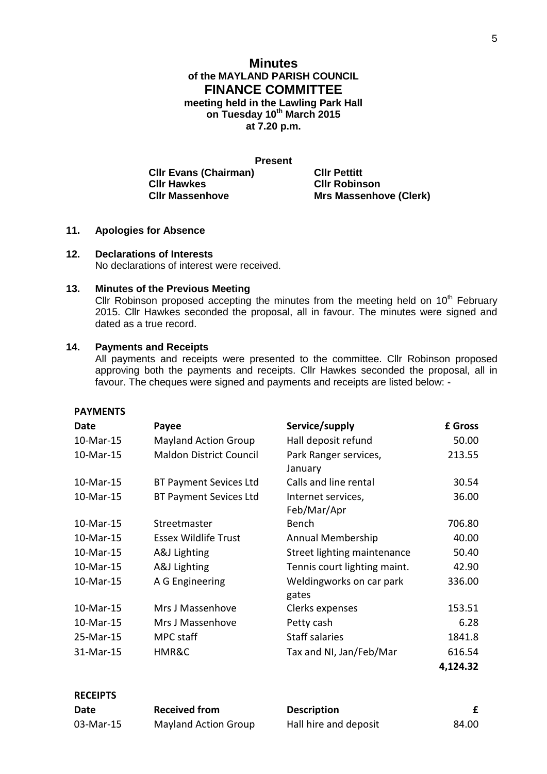## **Minutes of the MAYLAND PARISH COUNCIL FINANCE COMMITTEE meeting held in the Lawling Park Hall on Tuesday 10th March 2015 at 7.20 p.m.**

**Present Cllr Evans (Chairman) Cllr Pettitt Cllr Hawkes Cllr Robinson**

**Mrs Massenhove (Clerk)** 

- **11. Apologies for Absence**
- **12. Declarations of Interests**

No declarations of interest were received.

#### **13. Minutes of the Previous Meeting**

Cllr Robinson proposed accepting the minutes from the meeting held on  $10<sup>th</sup>$  February 2015. Cllr Hawkes seconded the proposal, all in favour. The minutes were signed and dated as a true record.

#### **14. Payments and Receipts**

All payments and receipts were presented to the committee. Cllr Robinson proposed approving both the payments and receipts. Cllr Hawkes seconded the proposal, all in favour. The cheques were signed and payments and receipts are listed below: -

### **PAYMENTS**

**RECEIPTS**

| Date      | Payee                          | Service/supply                    | £ Gross  |
|-----------|--------------------------------|-----------------------------------|----------|
| 10-Mar-15 | <b>Mayland Action Group</b>    | Hall deposit refund               | 50.00    |
| 10-Mar-15 | <b>Maldon District Council</b> | Park Ranger services,<br>January  | 213.55   |
| 10-Mar-15 | <b>BT Payment Sevices Ltd</b>  | Calls and line rental             | 30.54    |
| 10-Mar-15 | <b>BT Payment Sevices Ltd</b>  | Internet services,<br>Feb/Mar/Apr | 36.00    |
| 10-Mar-15 | Streetmaster                   | <b>Bench</b>                      | 706.80   |
| 10-Mar-15 | <b>Essex Wildlife Trust</b>    | Annual Membership                 | 40.00    |
| 10-Mar-15 | A&J Lighting                   | Street lighting maintenance       | 50.40    |
| 10-Mar-15 | A&J Lighting                   | Tennis court lighting maint.      | 42.90    |
| 10-Mar-15 | A G Engineering                | Weldingworks on car park<br>gates | 336.00   |
| 10-Mar-15 | Mrs J Massenhove               | Clerks expenses                   | 153.51   |
| 10-Mar-15 | Mrs J Massenhove               | Petty cash                        | 6.28     |
| 25-Mar-15 | MPC staff                      | <b>Staff salaries</b>             | 1841.8   |
| 31-Mar-15 | HMR&C                          | Tax and NI, Jan/Feb/Mar           | 616.54   |
|           |                                |                                   | 4,124.32 |

| RLULIFIJ  |                      |                       |       |  |
|-----------|----------------------|-----------------------|-------|--|
| Date      | <b>Received from</b> | <b>Description</b>    |       |  |
| 03-Mar-15 | Mayland Action Group | Hall hire and deposit | 84.00 |  |